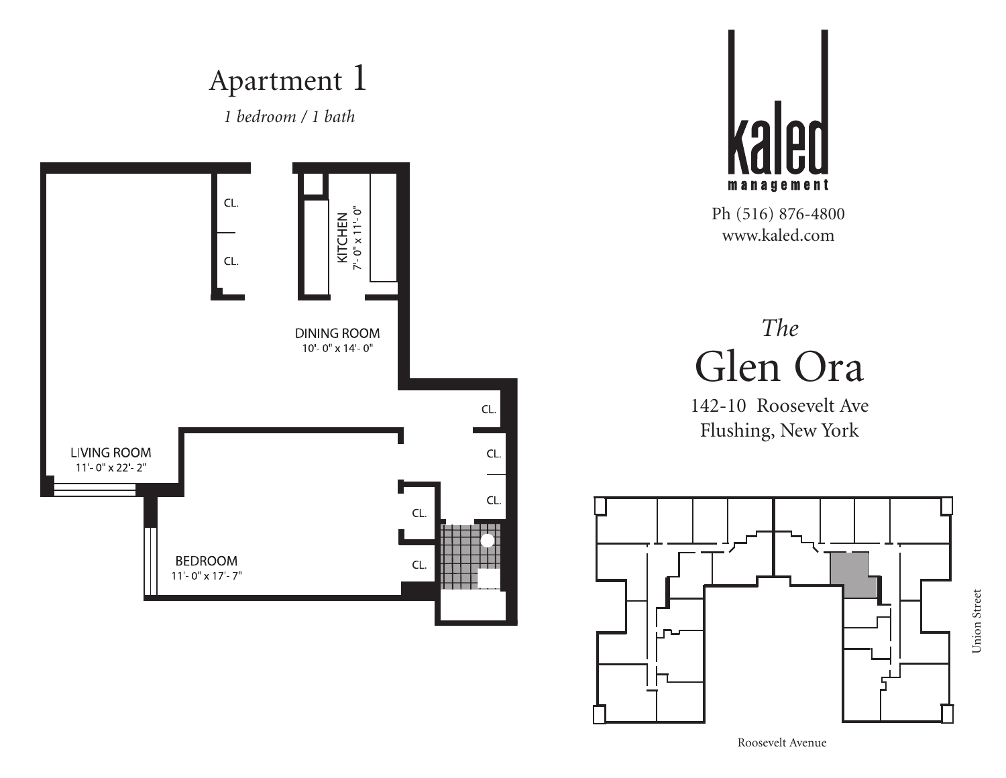



# *The* Glen Ora

142-10 Roosevelt Ave Flushing, New York



Union Street

Union Street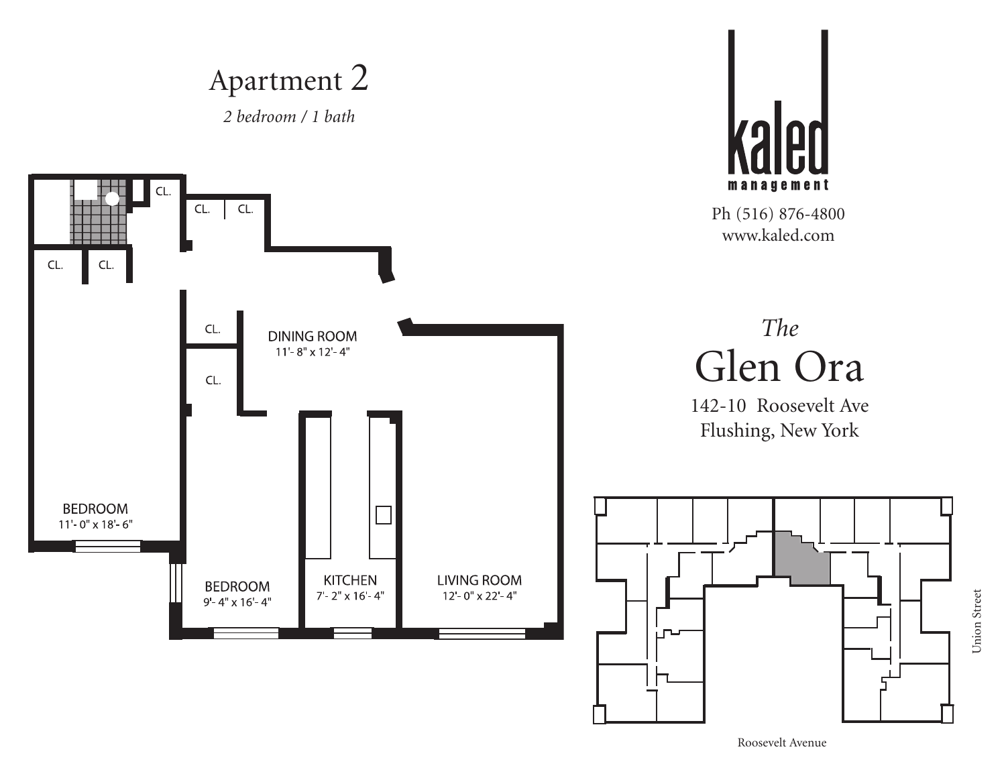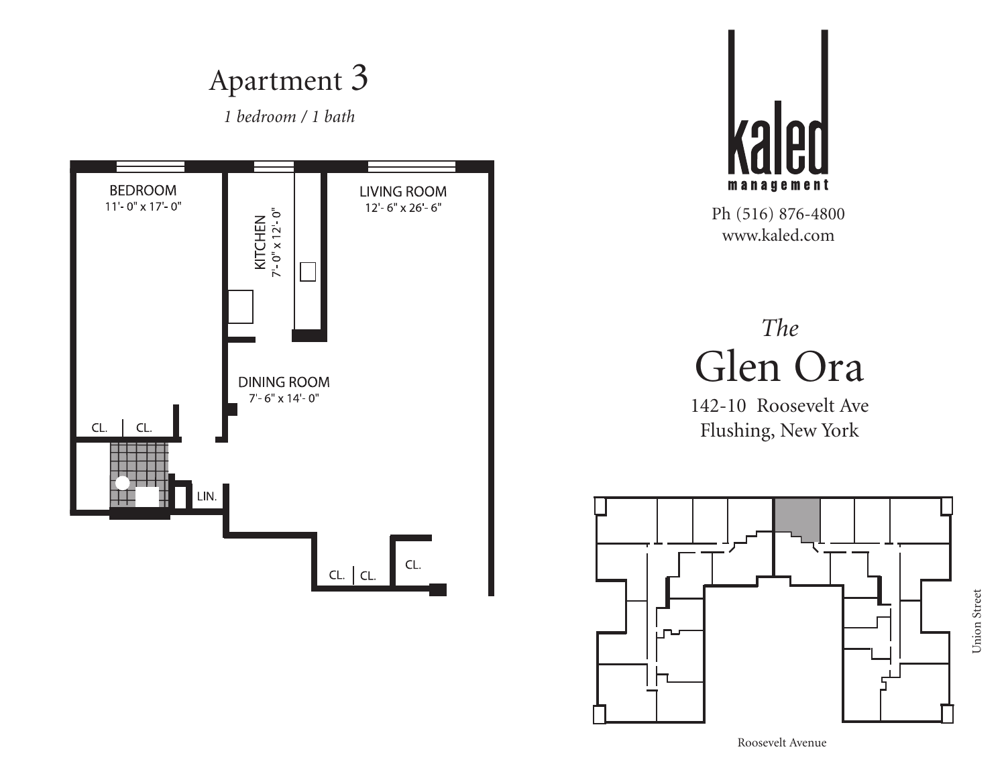*1 bedroom / 1 bath*





Ph (516) 876-4800 www.kaled.com

# *The* Glen Ora

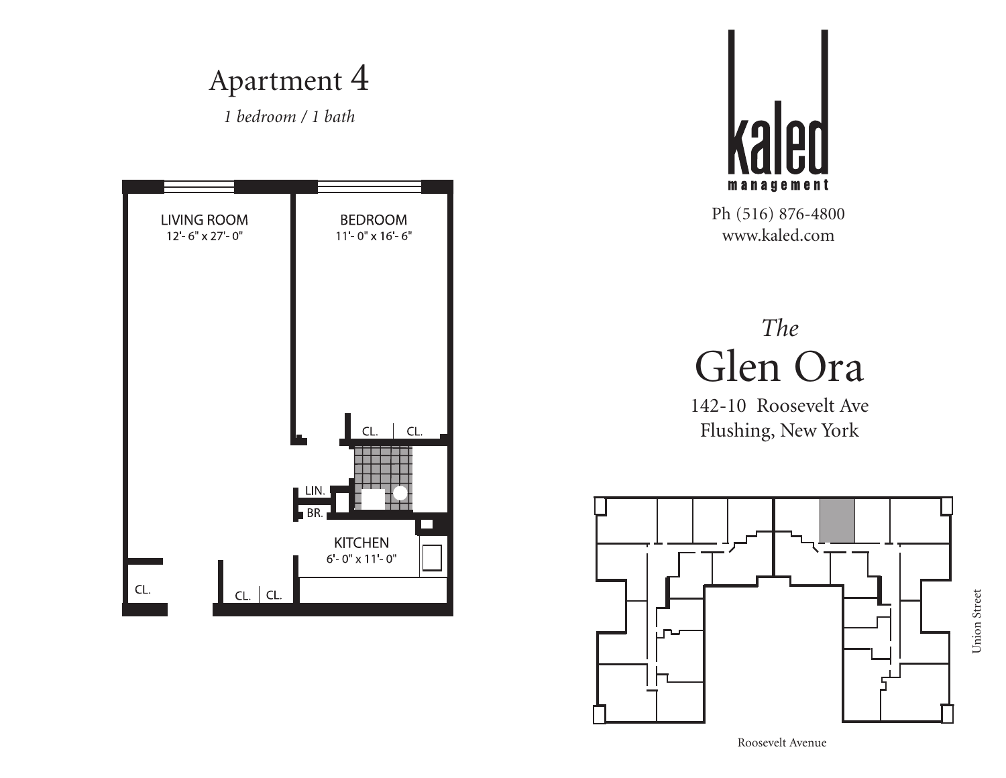



Ph (516) 876-4800 www.kaled.com

### *The* Glen Ora

142-10 Roosevelt Ave Flushing, New York

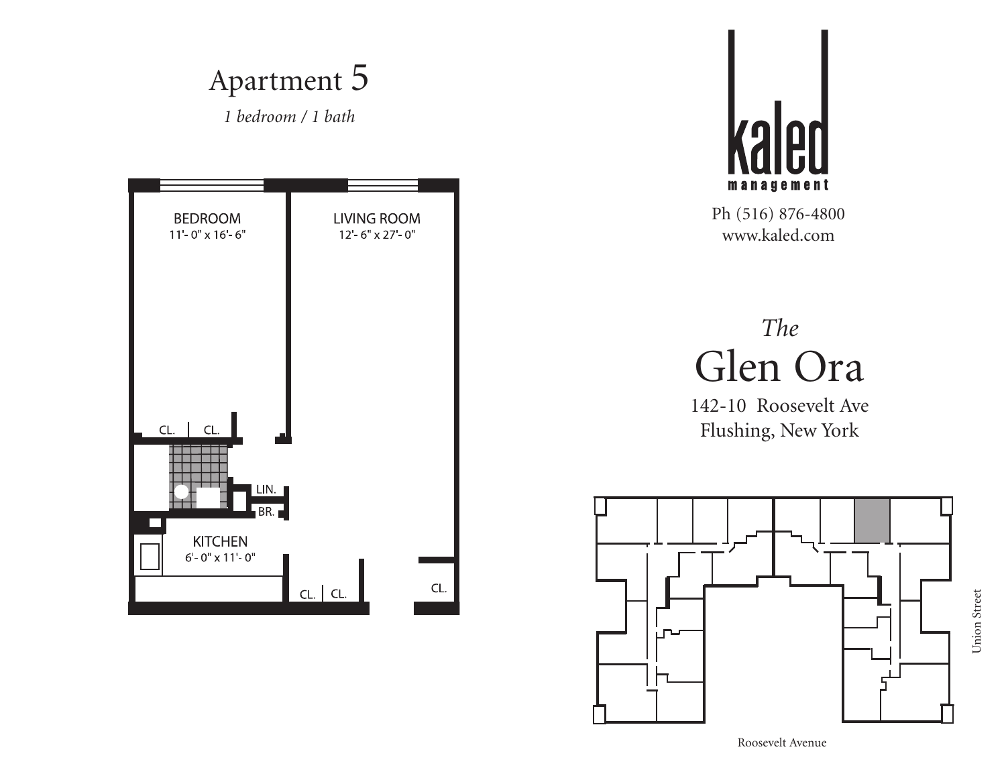![](_page_4_Figure_0.jpeg)

![](_page_4_Picture_1.jpeg)

## *The* Glen Ora

142-10 Roosevelt Ave Flushing, New York

![](_page_4_Figure_5.jpeg)

Union Street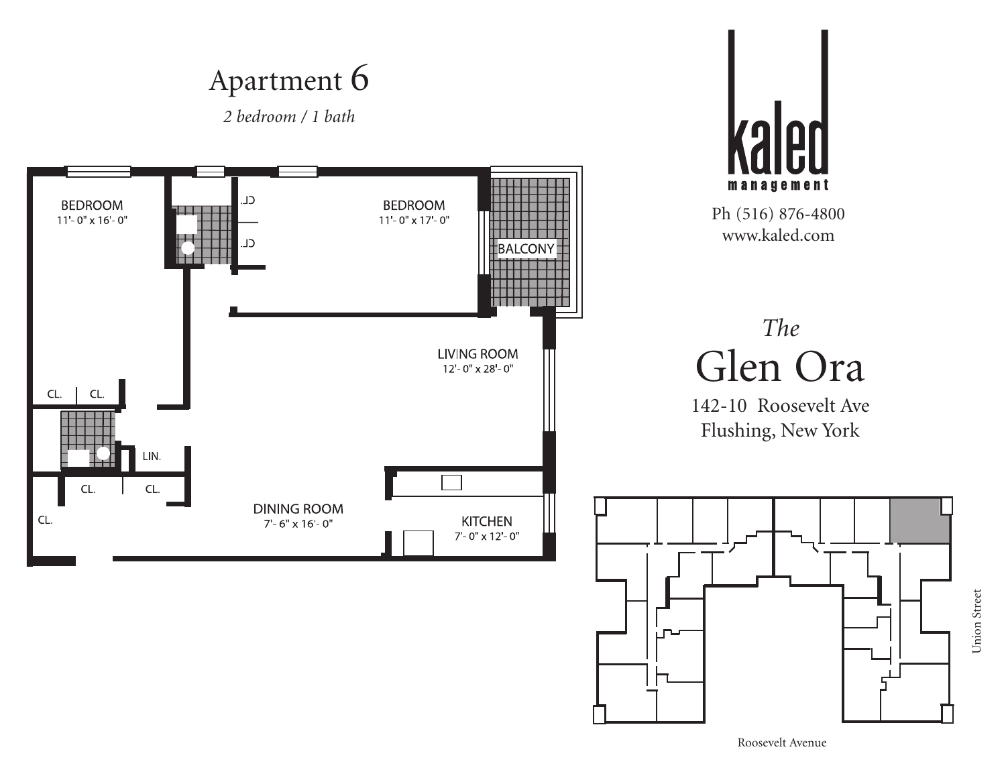*2 bedroom / 1 bath*

![](_page_5_Figure_2.jpeg)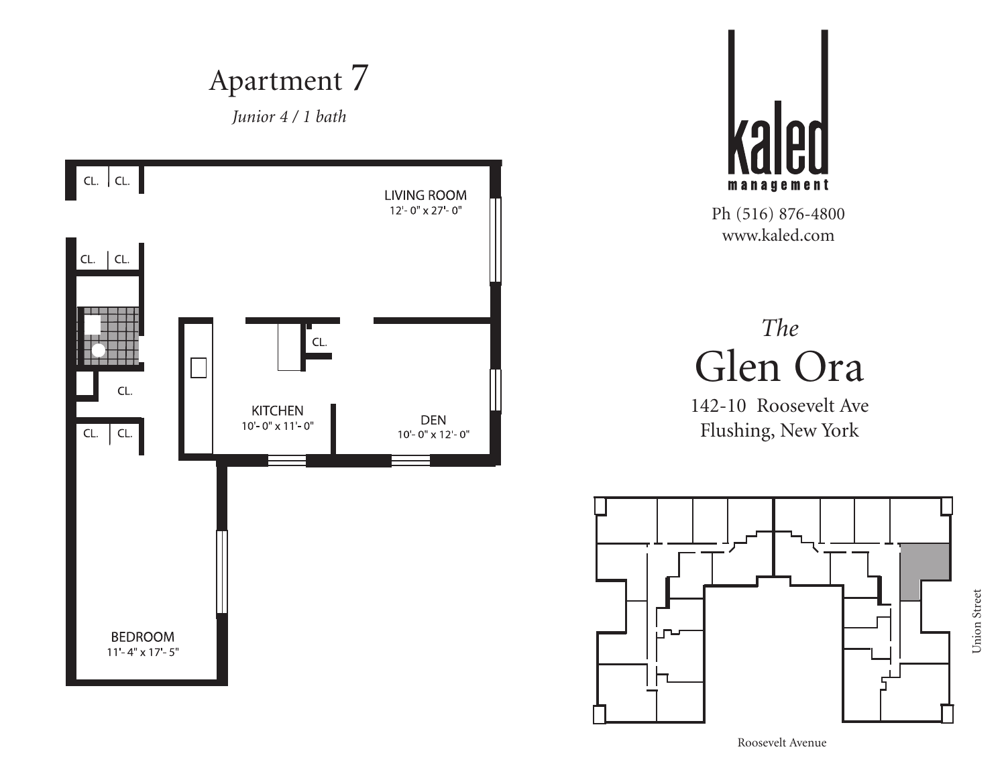![](_page_6_Figure_0.jpeg)

![](_page_6_Picture_1.jpeg)

# *The* Glen Ora

142-10 Roosevelt Ave Flushing, New York

![](_page_6_Figure_5.jpeg)

Union Street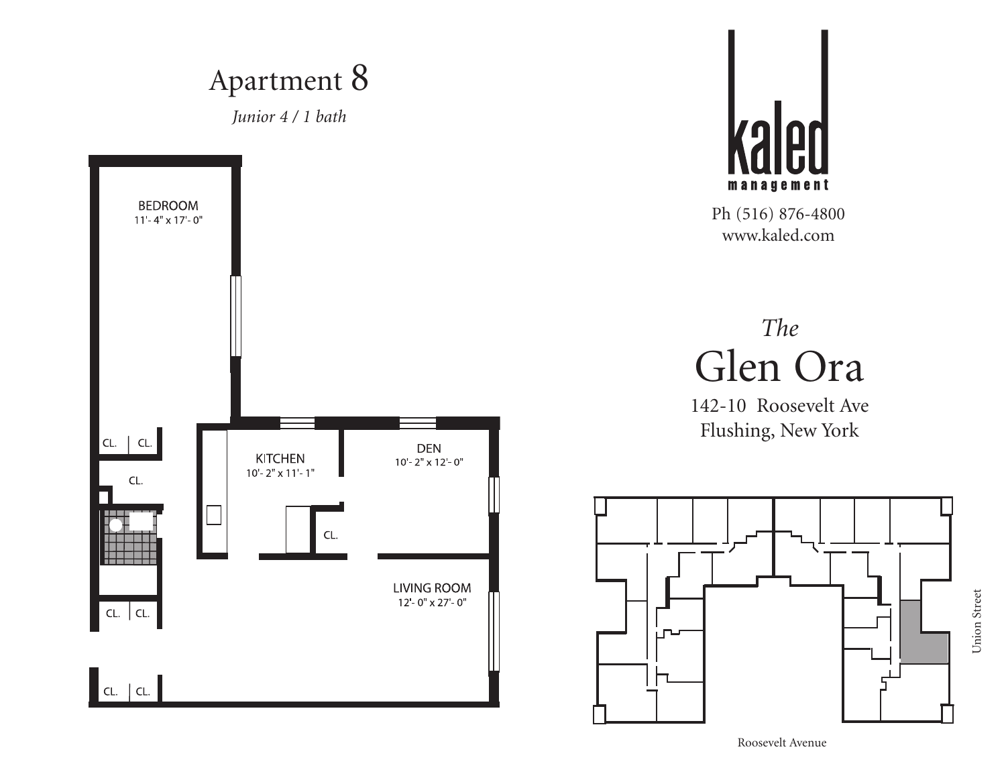![](_page_7_Figure_0.jpeg)

![](_page_7_Picture_1.jpeg)

#### *The* Glen Ora

142-10 Roosevelt Ave Flushing, New York

![](_page_7_Figure_5.jpeg)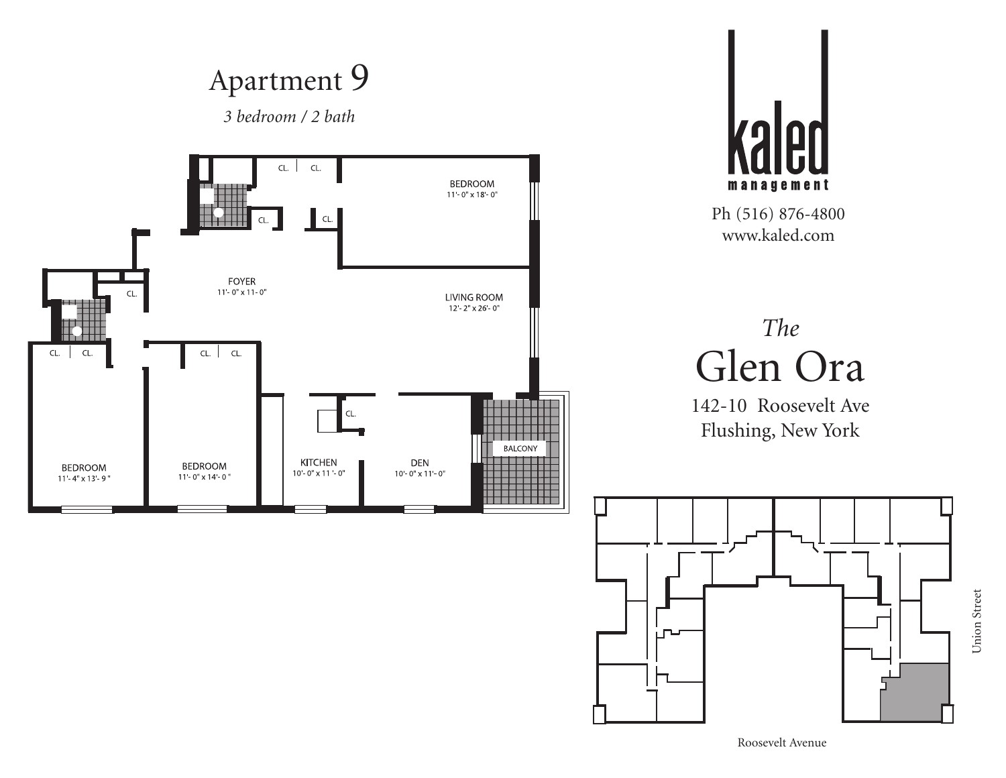![](_page_8_Figure_0.jpeg)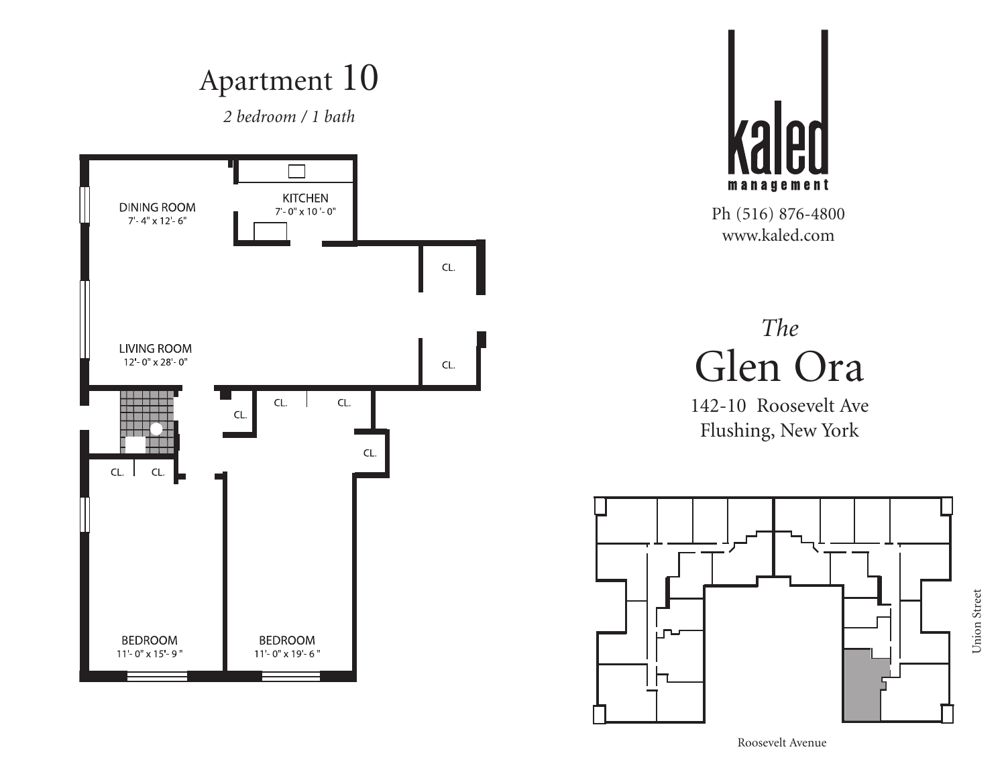*2 bedroom / 1 bath*

![](_page_9_Figure_2.jpeg)

![](_page_9_Picture_3.jpeg)

Ph (516) 876-4800 www.kaled.com

# *The* Glen Ora

142-10 Roosevelt Ave Flushing, New York

![](_page_9_Figure_7.jpeg)

Union Street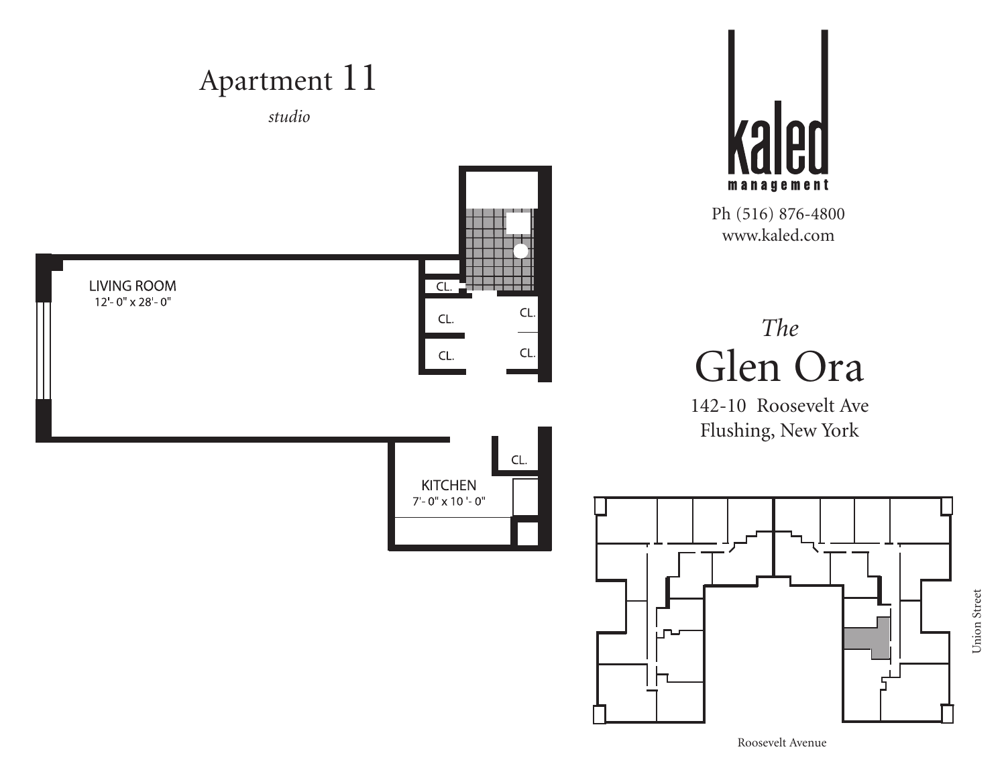![](_page_10_Figure_0.jpeg)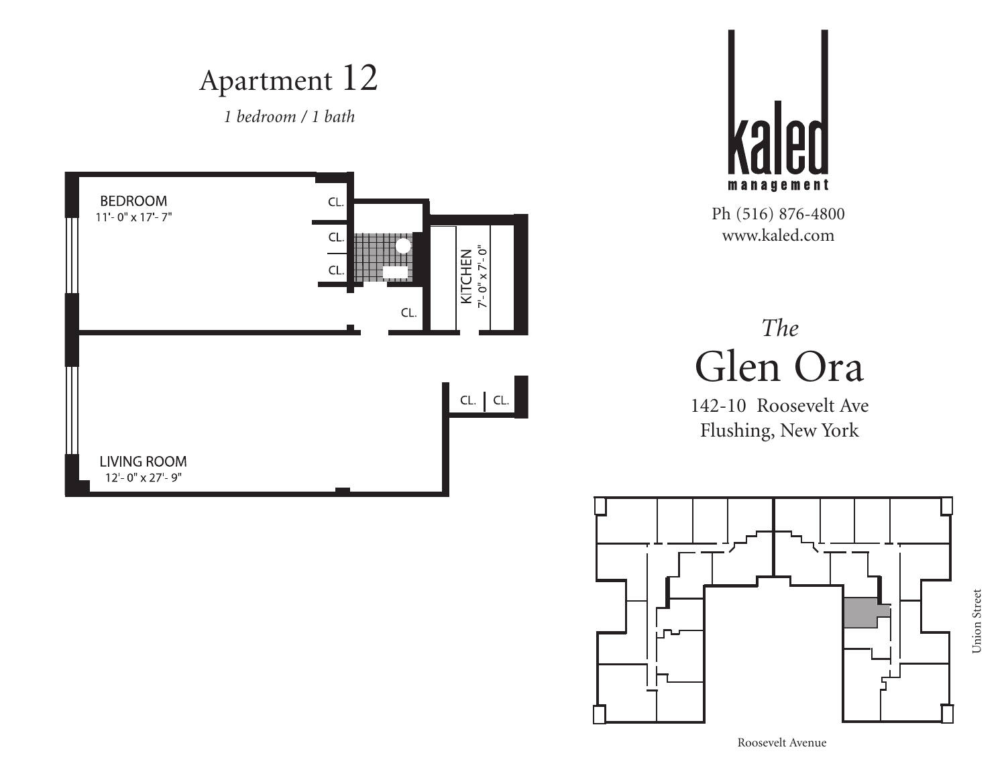*1 bedroom / 1 bath*

![](_page_11_Figure_2.jpeg)

![](_page_11_Picture_3.jpeg)

Ph (516) 876-4800 www.kaled.com

## *The* Glen Ora

![](_page_11_Figure_7.jpeg)

Roosevelt Avenue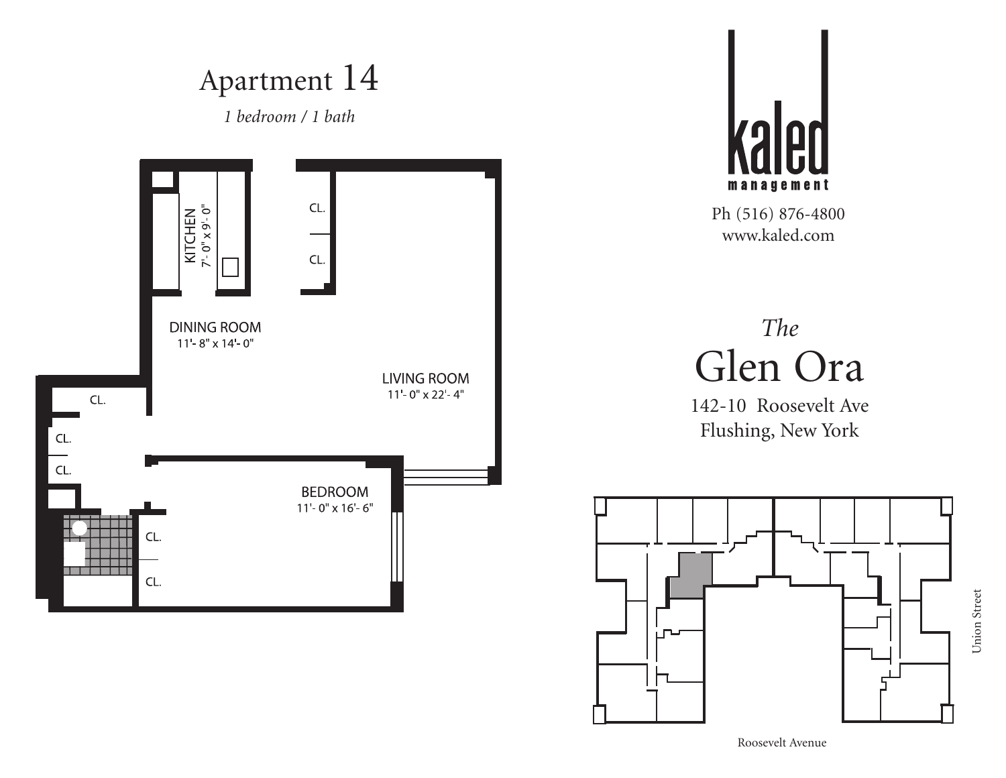![](_page_12_Figure_0.jpeg)

Union Street Union Street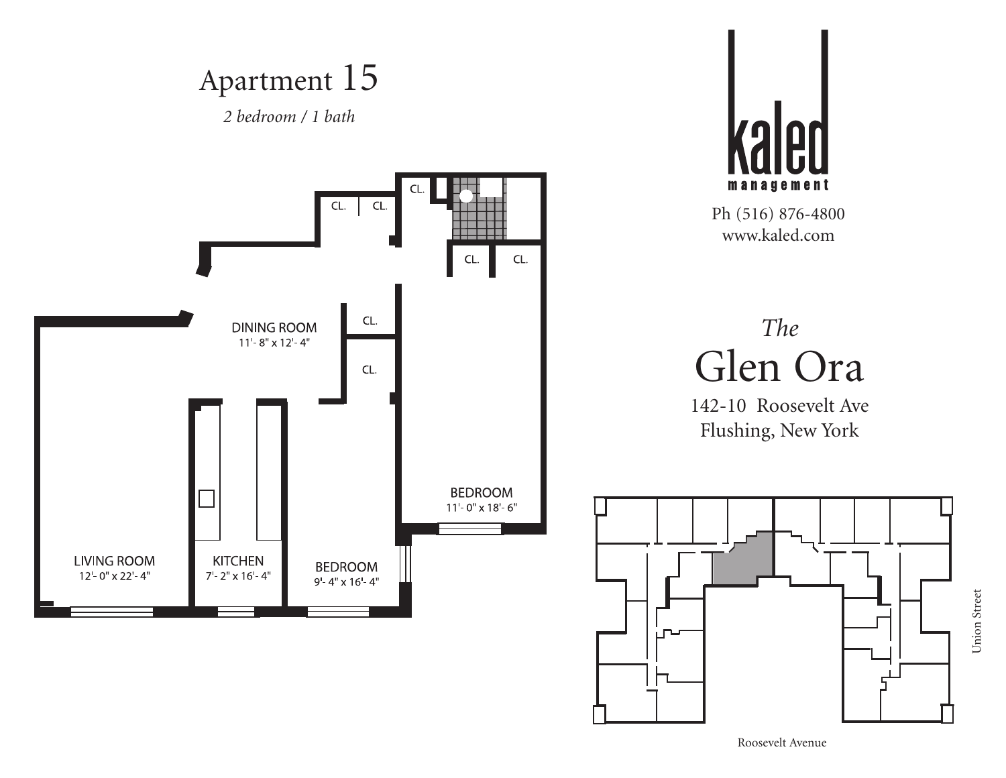![](_page_13_Figure_0.jpeg)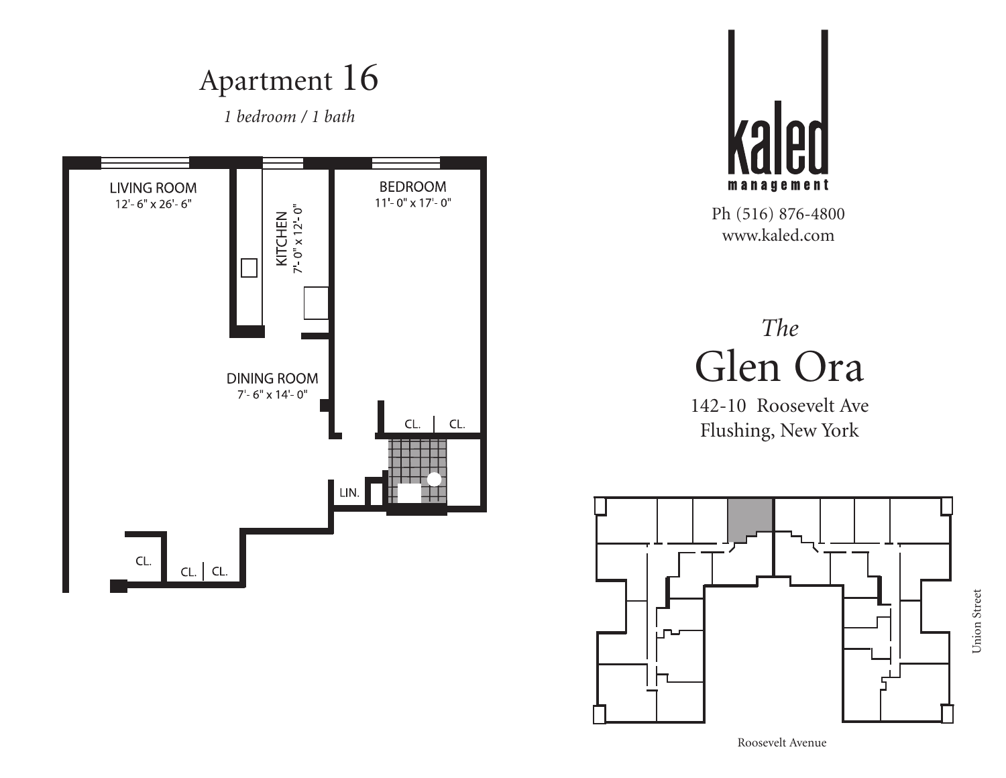![](_page_14_Figure_0.jpeg)

![](_page_14_Picture_1.jpeg)

## *The* Glen Ora

142-10 Roosevelt Ave Flushing, New York

![](_page_14_Figure_5.jpeg)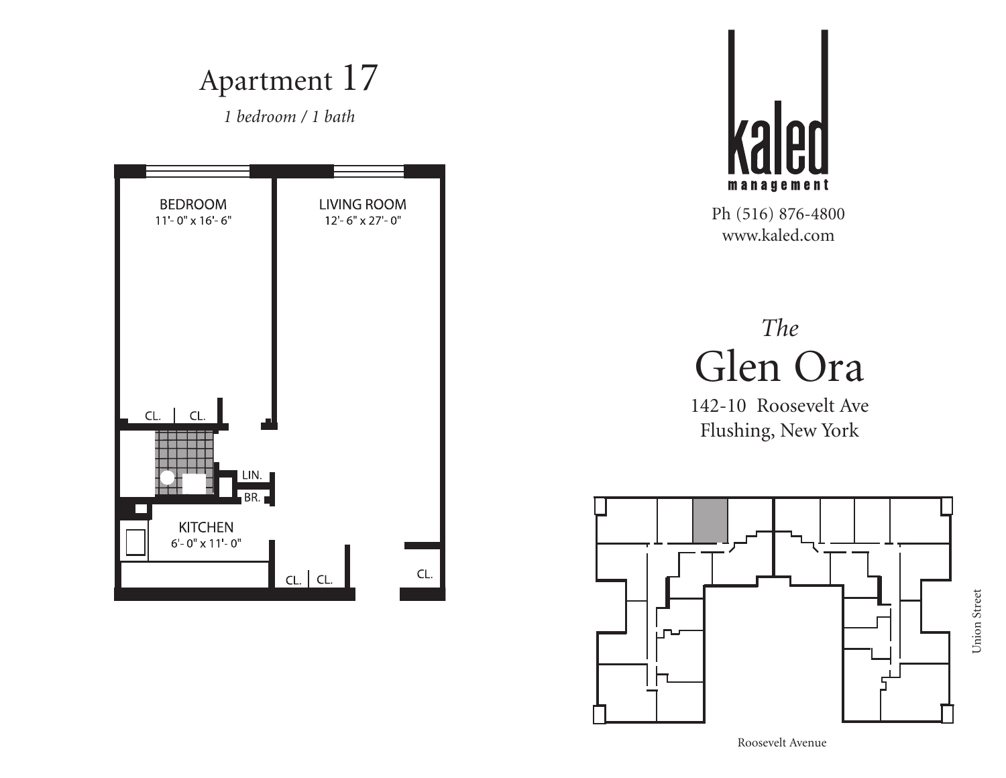![](_page_15_Figure_0.jpeg)

![](_page_15_Picture_1.jpeg)

## *The* Glen Ora

142-10 Roosevelt Ave Flushing, New York

![](_page_15_Figure_5.jpeg)

Union Street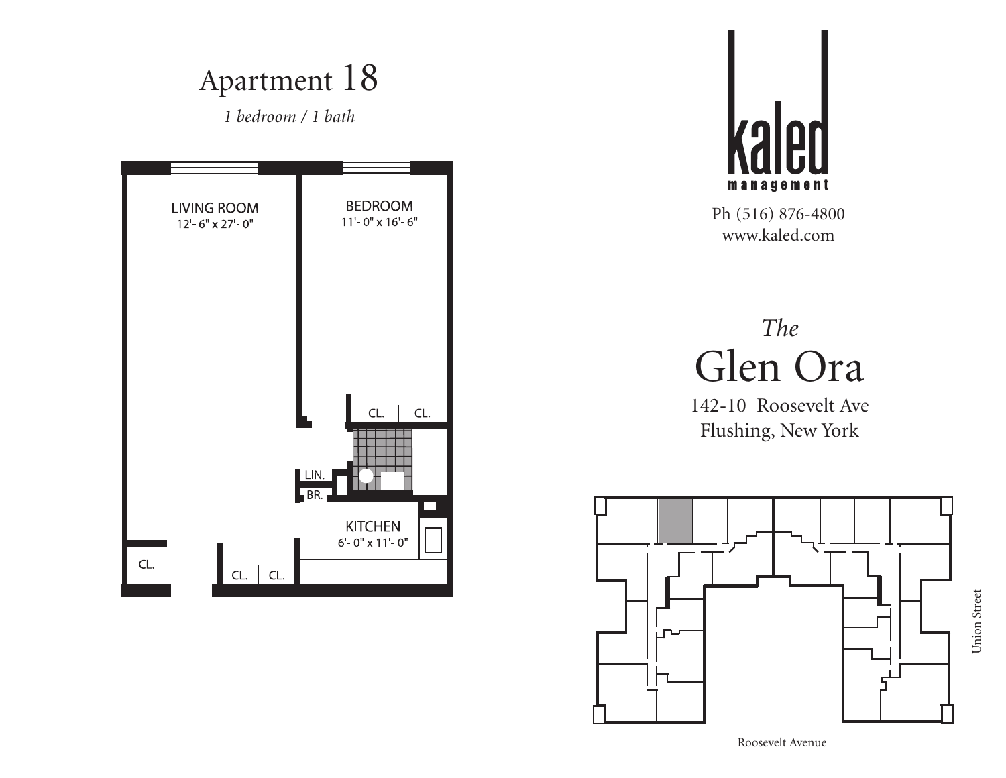![](_page_16_Figure_0.jpeg)

![](_page_16_Picture_1.jpeg)

## *The* Glen Ora

![](_page_16_Figure_5.jpeg)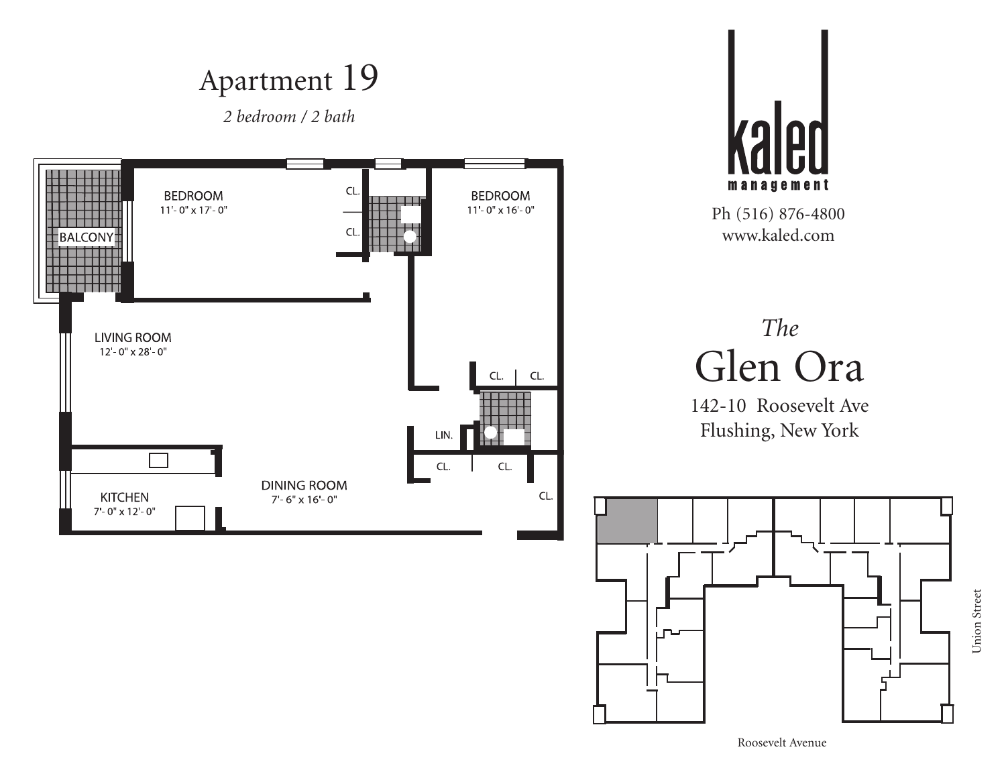*2 bedroom / 2 bath*

![](_page_17_Figure_2.jpeg)

![](_page_17_Picture_3.jpeg)

Ph (516) 876-4800 www.kaled.com

# *The* Glen Ora

![](_page_17_Figure_7.jpeg)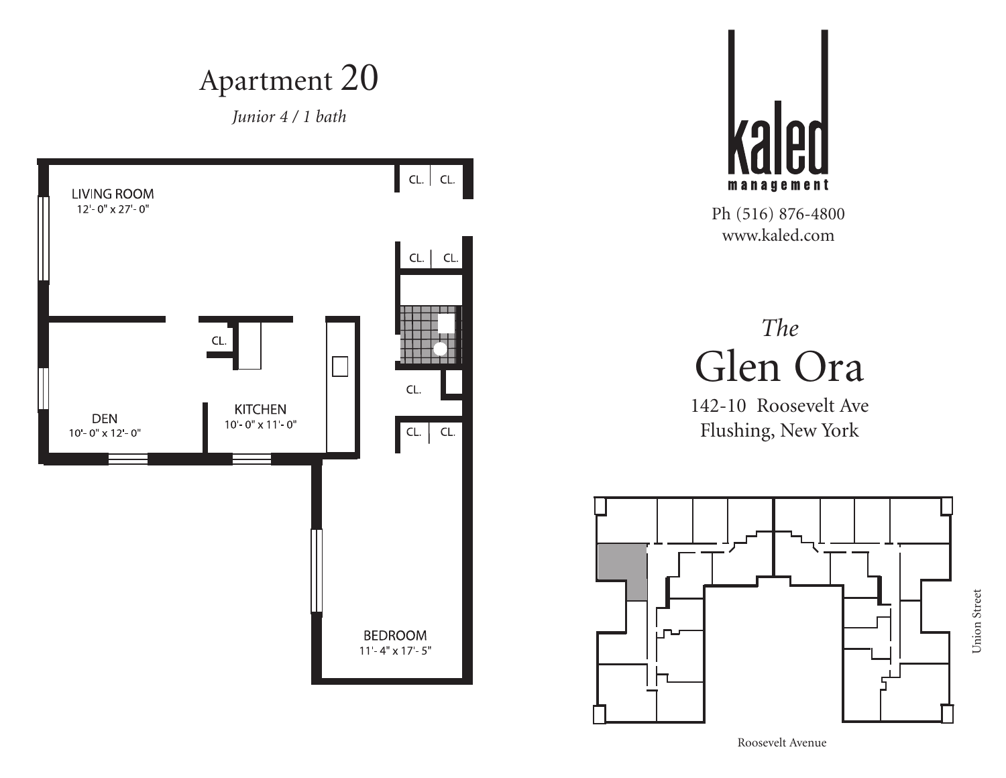*Junior 4 / 1 bath*

![](_page_18_Figure_2.jpeg)

![](_page_18_Picture_3.jpeg)

Ph (516) 876-4800 www.kaled.com

## *The* Glen Ora

142-10 Roosevelt Ave Flushing, New York

![](_page_18_Figure_7.jpeg)

Union Street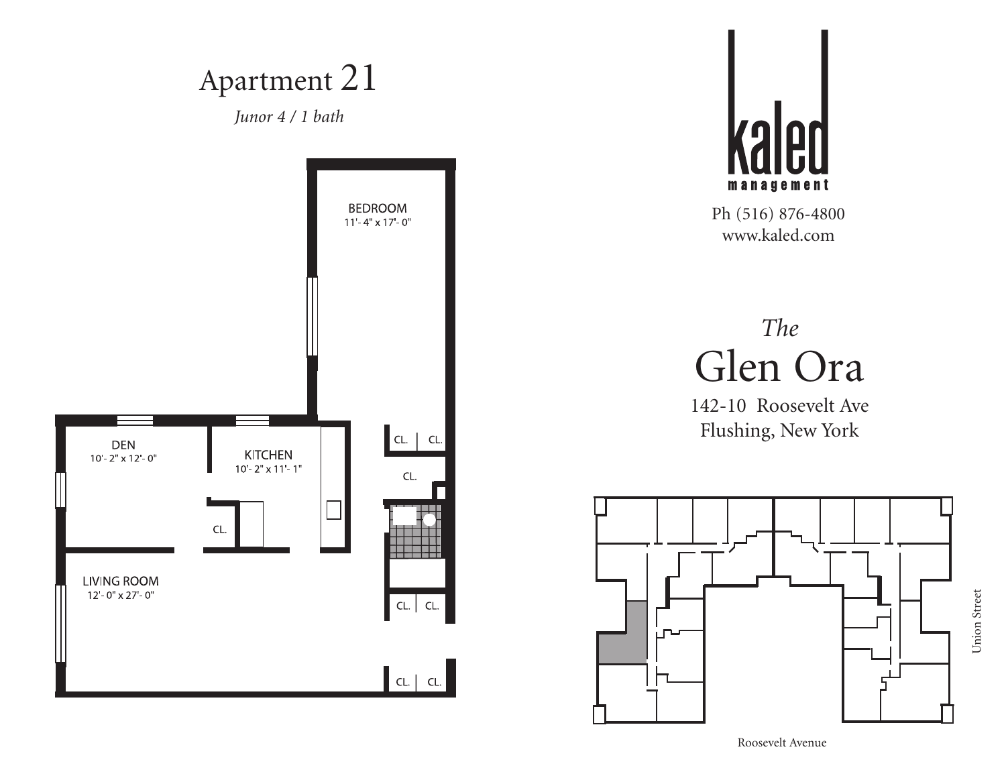![](_page_19_Figure_0.jpeg)

![](_page_19_Picture_1.jpeg)

# *The* Glen Ora

142-10 Roosevelt Ave Flushing, New York

![](_page_19_Figure_5.jpeg)

Union Street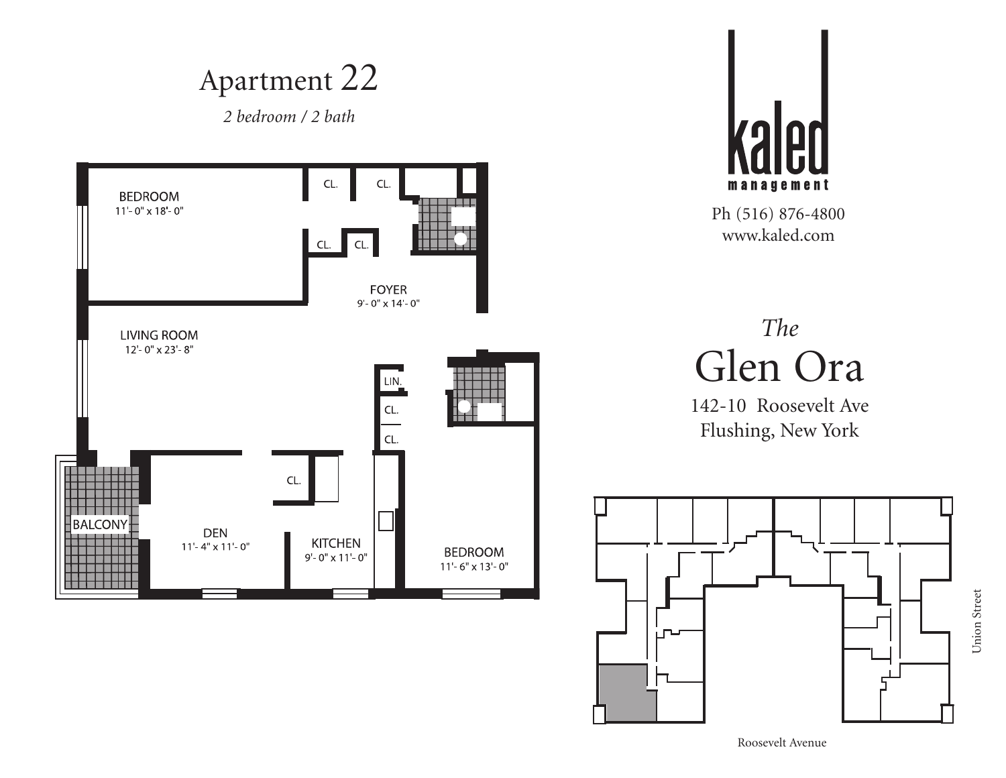![](_page_20_Figure_0.jpeg)

![](_page_20_Picture_1.jpeg)

# *The* Glen Ora

142-10 Roosevelt Ave Flushing, New York

![](_page_20_Figure_5.jpeg)

Union Street

Union Street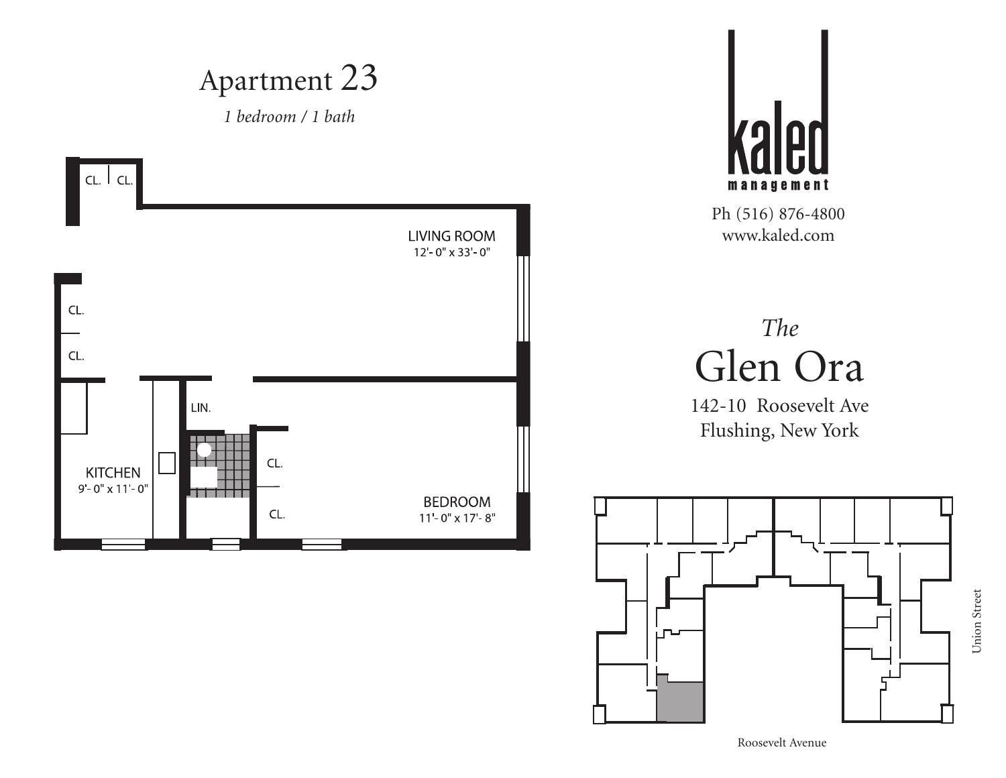![](_page_21_Figure_0.jpeg)

Roosevelt Avenue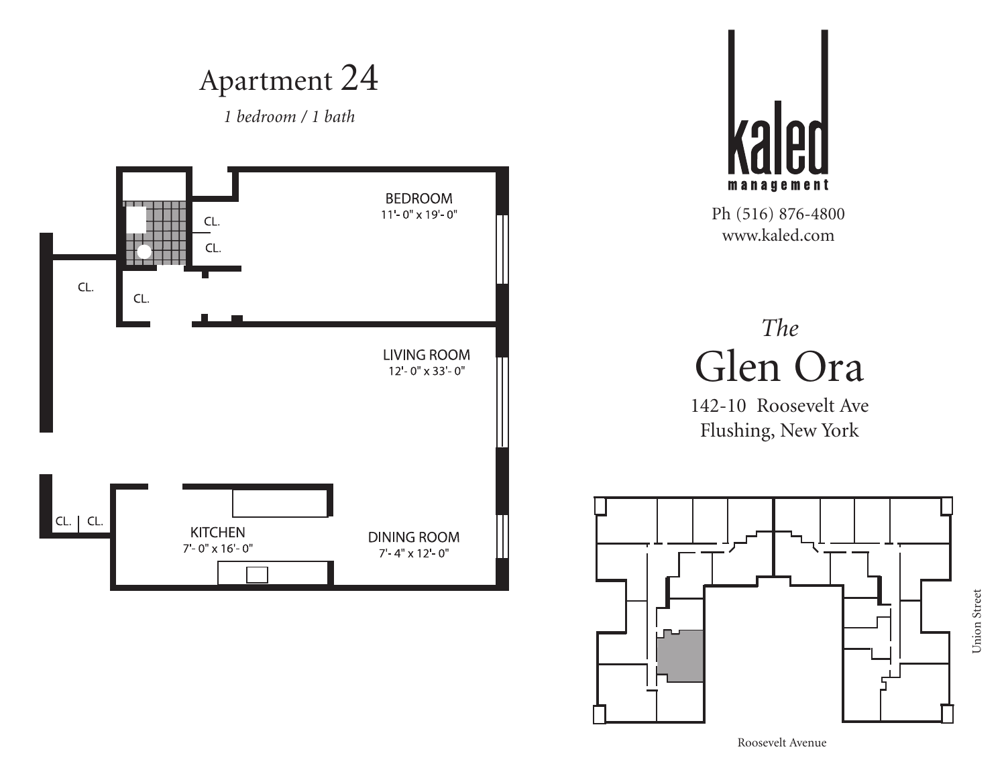![](_page_22_Figure_0.jpeg)

Union Street Union Street